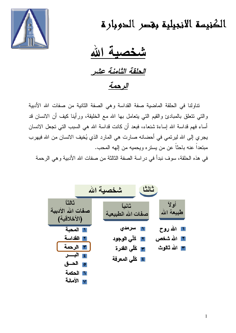

الكنيسة الانجيلية بغصر الحوبارة

فصبة الله الحلقة الثامنة عشر

الرحمة

نتاولنا في الحلقة الماضية صفة القداسة وهي الصفة الثانية من صفات الله الأدبية والتي نتنعلق بالمبادئ والقيم التي يتعامل بها الله مع الخليقة، ورأينا كيف أن الانسان قد أساء فهم قداسة الله إساءة شنعاء، فبعد أن كانت قداسة الله هي السبب التي تجعل الانسان يجري إلى الله ليرتمي في أحضانه صارت هي المارد الذي يُخيف الانسان من الله فيهرب مبتعداً عنه باحثاً عن من يستره ويحميه من إلهه المحب.

في هذه الحلقة، سوف نبدأ في دراسة الصفة الثالثة من صفات الله الأدبية و هي الرحمة

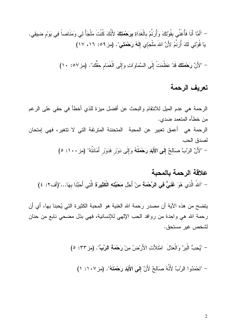– "أَمَّا أَنَا فَأُغَنِّي بِقُوَّتِكَ وَأُرِنِّمُ بِالْغَدَاةِ بِرَحْمَتِكَ لأَنَّكَ كُنْتَ مَلْجَأً ل<sub>َى</sub> وَمَنَاصلً فِي يَوْم ضيقِي. يَا قُوَّتِي لَكَ أُرنَمُ لأَنَّ اللهَ مَلْجَإِي إِلَهُ رَحْمَتِي". (مز ٥٩: ١٦، ١٧)

- "لأَنَّ رَحْمَتَكَ قَدْ عَظُمَتْ إِلَى السَّمَاوَاتِ وَإِلَى الْغَمَامِ حَقُّكَ". (مز ٥٧: ١٠)

## تعريف الرحمة

الرحمة هي عدم الميل للانتقام والبحث عن أفضل ميزة للذي أخطأ في حقى على الرغم من خطأه المتعمد ضدي. الرحمة هي أعمق تعبير عن المحبة المتحننة المترئفة التي لا تتغير، فهي إمتحان لصدق الحب - "لأَنَّ الرَّبَّ صَالِحٌ إِلَى الأَبَدِ رَحْمَتُهُ وَإِلَى دَوْرِ فَدَوْرِ أَمَانَتُهُ" (مز ١٠٠: ٥)

# علاقة الرحمة بالمحبة – "اَللهُ الَّذِي هُوَ غَنِيٌّ فِي الرَّحْمَةِ مِنْ أَجْلِ مَحَبَّتِهِ الْكَثِيرَةِ الَّتِي أَحَبَّنَا بهَا..."(أف٢: ٤)

يتضح من هذه الآية أن مصدر رحمة الله الغنية هو المحبة الكثيرة التي يُحبنا بها، أي أن رحمة الله هي واحدة من روافد الحب الإلهي للإنسانية، فهي بذل مضحي نابع من حنان لشخص غير مستحق.

– "يُحِبُّ الْبِرَّ وَالْعَدْلَ ۚ امْتَلأَتِ الأَرْضُ مِنْ رَحْمَةِ الرَّبِّ". (مز ٣٣: ٥)

- "لِحْمَدُوا الرَّبَّ لأَنَّهُ صَالحٌ لأَنَّ إِلَى الأَبَدِ رَحْمَتَهُ". (مز١٠٧: ١)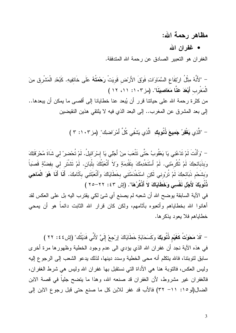## مظاهر رحمة الله:

#### • غفران الله

الغفر إن هو التعبير الصادق عن رحمة الله المتدفقة.

– "لأَنَّهُ مِثْلُ ارْتِفَاعِ السَّمَاوَاتِ فَوْقَ الأَرْض قَويَتْ رَحْمَتُهُ عَلَى خَائفِيهِ. كَبُعْدِ الْمَشْرق مِنَ الْمَغْرِبِ أَبْعَدَ عَنَّا مَعَاصِيِنَا". (مز ١٠٣: ١١، ١٢) من كثرة رحمة الله على حياتنا قرر أن يُبعد عنا خطايانا إلى أقصى ما يمكن أن يبعدها.. إلى بعد المشرق عن المغرب.. إلى البعد الذي فيه لا يلتقي هذين النقيضين

– "الَّذِي يَغْفِرُ جَمِيعَ ذُنُوبِكِ ِ الَّذِي يَشْفِي كُلَّ أَمْرَاضلِك" (مز ٢٠٢: ٣ )

– "وَأَنْتَ لَمْ تَدْعُنِي يَا يَعْقُوبُ حَتَّى تَتْعَبَ مِنْ أَجْلِي يَا إِسْرَائيلُ. لَمْ تُحْضِرْ لي شَاةَ مُحْرَقَتِكَ وَبِذَبَائِحِكَ لَمْ تُكْرِمْنِي. لَمْ أَسْتَخْدِمْكَ بِنَقْدِمَةٍ وَلاَ أَتْعَبْتُكَ بِلُبَانٍ. لَمْ تَشْتَر لي بفِضَّةٍ قَصَبَاً وَبِشْحْمِ ذَبَائحِكَ لَمْ تُرِوْنِي لَكِن اسْتَخْدَمْتَنِي بِخَطَايَاكَ وَأَتْعَبْتَنِي بِأَثَامِكَ. أَنَا أَنَا هُوَ الْمَاحِي ذُنُوبِكَ لأَجْلَ نَفْسِي وَخَطَايَاكَ لاَ أَذْكُرُهَا". (إِسْ ٢٤: ٢٢–٢٥ ) في الآية السابقة يوضح الله أن شعبه لم يصنع أي شئ لكي يقترب اليه بل على العكس لقد أهانوا الله بخطاياهم وأنعبوه بأثامهم، ولكن كان قرار الله الثابت دائماً هو أن يمحى خطاياهم فلا يعود يذكرها.

– "قَدْ مَحَوْتُ كَغَيْمِ ذُنُوبَكَ وَكَسَحَابَةٍ خَطَايَاكَ إِرْجِعْ إِلَيَّ لأَنِّي فَدَيْتُك" (إش ٤٤ : ٢٢ ) في هذه الآية نجد أن غفران الله الذي يؤدي الى عدم وجود الخطية وظهورها مرة أخرى سابق لتوبتنا، فالله يتكلم أنه محى الخطية وسدد دينها، لذلك يدعو الشعب إلى الرجوع إليه وليس العكس، فالنوبة هنا هي الأداة النبي نستقبل بها غفران الله وليس هي شرط الغفران، فالغفران غير مشروط، لأن الغفران قد صنعه الله، وهذا ما يتضح جلياً في قصة الابن الضال(لو ١٥: ١١- ٣٢) فالأب قد غفر للابن كل ما صنع حتى قبل رجوع الابن إلى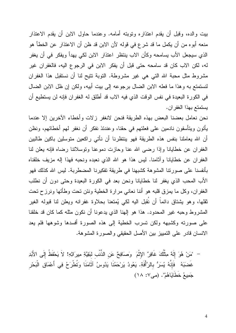بيت والده، وقبل أن يقدم اعتذاره ونوبته أمامه. وعندما حاول الابن أن يقدم الاعتذار منعه أبوه من أن يكمل ما قد شرع في قوله لأن الابن قد ظن أن الاعتذار عن الخطأ هو الذي سيجعل الأب يسامحه وكأن الاب ينتظر اعتذار الابن لكي يهدأ ويفكر في أن يغفر له، لكن الاب كان قد سامحه حتى قبل أن يفكر الابن في الرجوع اليه، فالغفران غير مشروط مثل محبة الله التي هي غير مشروطة. التوبة نتيح لنا أن نستقبل هذا الغفران لنستمتع به وهذا ما فعله الابن الضال برجوعه إلى بيت أبيه، ولكن إن ظل الابن الضال في الكورة البعيدة في نفس الوقت الذي فيه الاب قد أطلق له الغفران فإنه لن يستطيع أن يستمتع بهذا الغفران.

نحن نعامل بعضنا البعض بهذه الطريقة فنحن لانغفر زلات وأخطاء الأخرين إلا عندما يأتون ويتأسفون نادمين على فعلتهم في حقنا، وعندئذ نفكر أن نغفر لهم أخطائهم، ونظن أن الله يعاملنا بنفس هذه الطريقة فهو ينتظرنا أن نأتى راكعين متوسلين باكين طالبين الغفران عن خطايانا وإذا رضبي الله عنا وحازت دموعنا ونوسلانتا رضاه فإنه يعلن لنا الغفران عن خطايانا وأثامنا. ليس هذا هو الله الذي نعبده ونحبه فهذا إله مزيف خلقناه بأنفسنا على صورتنا المشوهة كشبهنا في طريقة تفكيرنا المضطربة. ليس الله كذلك فهو الأب المحب الذي يغفر لنا خطايانا ونحن بعد في الكورة البعيدة وحتى دون أن نطلب الغفران، وكل ما يمزق قلبه هو أننا نعاني مرارة الخطية ونئن تحت وطأتها ونرزح تحت ثقلها، وهو يشتاق دائماً أن نُقبل اليه لكي يُمتعنا بحلاوة غفرانه ويعلن لنا قبوله الغير المشروط وحبه غير المحدود. هذا هو إلهنا الذي يدعونا أن نكون مثله كما كان قد خلقنا على صورته وكشبهه ولكن تسرب الخطية إلى هذه الصورة أفسدها وشوهها فلم يعد الانسان قادر على التمييز بين الأصل الحقيقي والصورة المشوهة.

"مَنْ هُوَ إِلَهٌ مِثْلُكَ غَافِرٌ الإِثْمَ ۖ وَصَافِحٌ عَنِ الذُّنْبِ لبَقِيَّةِ مِيرَاثِهِ! لاَ يَحْفَظُ إِلَى الأَبَدِ غَضبَهُ ۖ فَإِنَّهُ يُسَرُّ بِالرَّأْفَةِ. يَعُودُ يَرْحَمُنَا يَدُوسُ آثَامَنَا وَتُطْرَحُ فِي أَعْمَاقِ الْبَحْر جَمِيعُ خَطَايَاهُمْ". (مي٧: ١٨)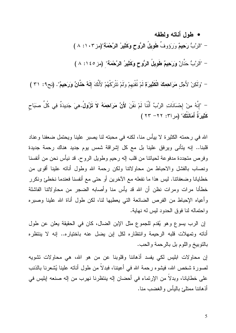• طول أناته ولطفه

– "الرُّبُّ رَحِيمٌ وَرَوَوف طُويل الرَّوح وَكَثِيرُ الرَّحْمَةِ"(مز ١٠٣: ٨ ) – "الرَّبُّ حَنانٌ وَرَحِيمٌ طويلِ الرَّوحِ وَكثَيرُ الرّحْمَة" (مز ١٤٥: ٨ )

– "وَلَكِنْ لأَجْلُ مَرَاهِمِكَ الكَثِيرَةِ لَمْ تَفْنِهِمْ وَلَمْ تَتَرُكَهُمْ لأَنْكَ إِلَٰهٌ هَنَانٌ وَرَحِيمٌ". (نح٩: ٣١ )

– "إِنهُ مِنْ إِحْسَاناتِ الرَّبِّ أَننا لَمْ نفنَ لأَنَّ مَرَا**حِمَهُ لا تزُول.**هِيَ جَدِيدَة فِي كُل صَبَاحٍ كثِيرَة أَمَانتكَ" (مر ٣١: ٢٢ – ٢٣ )

الله في رحمته الكثيرة لا بيأس منا، لكنه في محبته لنا يصبر علينا ويحتمل ضعفنا وعناد قلبنا.. إنه يتأنى ويرفق علينا بل مع كل إشراقة شمس يوم جديد هناك رحمة جديدة رفرص متجددة مدفوعة لحيانتا من قلب إله رحيم وطويل الروح. قد نيأس نحن من أنفسنا رنصاب بالفشل والاحباط من محاولاتنا ولكن رحمة الله وطول أنانه علينا أقوى من خطايانا وضعفاتنا. ليس هذا ما نفعله مع الاخرين أو حتى مع أنفسنا فعندما نخطئ ونكرر خطأنا مرات ومرات نظن أن الله قد يأس منا وأصابه الضجر من محاولاتنا الفاشلة رأعياه الإحباط من الفرص الضائعة التي يعطيها لنا، لكن طول أناة الله علينا وصبره راحتماله لنا فوق الحدود ليس له نهاية.

إن الرب يسوع وهو يُقدم للجموع مثل الإبن الضـال، كان فـي الـحقيقة يعلن عن طول أناته وتمهلات قلبه الرحيمة وانتظاره لكل إبن يضل عنه باختياره.. إنه لا ينتظره بالنوبيخ واللوم بل بالرحمة والحب.

إن محاولات ابليس لكي يفسد أذهاننا وقلوبنا عن من هو الله، هي محاولات نشويه لصورة شخص الله، فيشوه رحمة الله في أعيننا، فبدلا من طول أناته علينا يُشعرنا بالذنب على خطايانـا، وبدلا من الإرتماء في أحضـان إله ينتظرنـا نـهرب من إلـه صنعه إبليس في أذهاننا ممتلئ باليأس والغضب منا.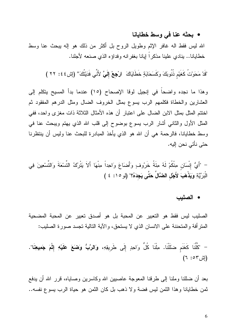### • بحثه عنا في وسط خطايانا

الله ليس فقط الـه غافر الإثم وطويل الروح بل أكثر من ذلك هو إلـه يبحث عنا وسط خطايانا.. بنادي علينا مذكراً إيانا بغفرانه وفداؤه الذي صنعه لأجلنا.

"قَدْ مَحَوْتُ كَغَيْمِ ذُنُوبَكَ وَكَسَحَابَةٍ خَطَايَاكَ ۚ ارْجِعْ إِلَيَّ لأَنِّي فَدَيْتُكَ'' (إِش ٤٤: ٢٢ )

وهذا ما نجده واضحاً في إنجيل لوقا الإصحاح (١٥) عندما بدأ المسيح يتكلم إلى العشارين والخطاة فكلمهم الرب يسوع بمثل الخروف الضال ومثل الدرهم المفقود ثم اختتم المثل بمثل الابن الضال على اعتبار أن هذه الأمثال الثلاثة ذات مغزى واحد، ففي المثل الأول والثاني أشار الرب يسوع بوضوح إلى قلب الله الذي يهتم ويبحث عنا في وسط خطايانا، فالرحمة هي أن الله هو الذي يأخذ المبادرة للبحث عنا وليس أن ينتظرنا حتى نأتى نحن البه.

– "أَيُّ إِنْسَانٍ مِنْكُمْ لَهُ مِئَةُ خَرِبُوفٍ وَأَضَاعَ وَاحِداً مِنْهَا أَلاَ بَتْرُكُ التِّسْعَةَ وَالتِّسْعِينَ فِي الْبَرِيَّةِ وَيَذْهَبَ لأَجْلِ الضَّالِّ حَتَّى يَجِدَهُ؟" (لو ١٥: ٤ )

• الصليب

الصليب ليس فقط هو التعبير عن المحبة بل هو أصدق تعبير عن المحبة المضحية المنز أفة و المتحننة على الانسان الذي لا يستحق، و الآية التالية تجسد صورة الصليب:

– "كُلّْنَا كَغَنَم ضلَلْنَا. مِلْنَا كُلُّ وَاحِدٍ إِلَى طَرِيقِهِ، وَالرَّبُّ وَضَعَ عَلَيْهِ إِثْمَ جَمِيعِنَا".  $(7:07)$ 

بعد أن ضللنا وملنا إلى طرقنا المعوجة عاصبين الله وكاسرين وصاباه، قرر الله أن يدفع ثمن خطايانا وهذا الثمن ليس فضة ولا ذهب بل كان الثمن هو حياة الرب يسوع نفسه..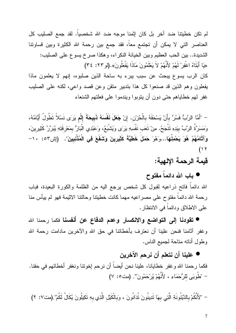لم تكن خطيتنا ضد آخر بل كان إثمنا موجه ضد الله شخصياً. لقد جمع الصليب كل العناصر التي لا يمكن أن تجتمع معاً، فقد جمع بين رحمة الله الكثيرة وبين قساونتا الشديدة.. بين الحب العظيم وبين الخيانة النكراء، وهكذا صرخ يسوع على الصليب: «يَا أَبَتَاهُ اغْفِرْ لَهُمْ لأَنَّهُمْ لاَ يَعْلَمُونَ مَاذَا يَفْعَلُونَ».(لو ٢٢: ٣٤)

كان الرب يسوع يبحث عن سبب يبرء به ساحة الذين صلبوه، إنهم لا يعلمون ماذا يفعلون وهم الذين قد صنعوا كل هذا بتدبير متقن وعن قصد واعي، لكنه على الصليب غفر لمهم خطاياهم حتى دون أن يتوبوا ويندموا على فعلتهم الشنعاء

– "أَمَّا الرَّبُّ فَسُرَّ بأَنْ يَسْحَقَهُ بِالْحُرْنِ. إنْ **جَعَلَ نَفْسَهُ ذَبِيحَةَ** إِثْمٍ يَرَى نَسْلاً تَطُولُ أَيَّامُهُ، وَمَسَرَّةُ الرَّبِّ بِيَدِهِ نَتْجَحُ. مِنْ نَعَب نَفْسِهِ يَرَى وَيَشْبَعُ، وَعَبْدِي الْبَارُ بِمَعْرفَنِهِ يُبَرِّرُ كَثِيرِينَ، وَآثَامُهُمْ ۚ هُوَ يَحْمِلُهَا...وَهُوَ حَمَلَ خَطِيَّةَ كَثِيرِينَ وَشَفَعَ فِى الْمُذْنِبِينَ". (إش٢٥: ١٠ - $(11)$ 

قيمة الرحمة الإلهية:

● باب الله دائماً مفتوح

الله دائماً فاتح ذراعيه لقبول كل شخص يرجع اليه من الظلمة والكورة البعيدة، فباب رحمة الله دائما مفتوح على مصر اعيه مهما كانت خطيتنا وحالتنا الاثيمة فهو لم بيأس منا على الاطلاق ودائماً في الانتظار .

● تقودنا إلى التواضع والانكسار وعدم الدفاع عن أنفسنا فكما رحمنا الله وغفر آثامنا فنحن علينا أن نعترف بأخطائنا في حق الله والآخرين مادامت رحمة الله وطول أناته متاحة لجميع الناس.

## ● علينا أن نتعلم أن نرحم الآخرين

فكما رحمنا الله وغفر خطايانا، علينا نحن أيضاً أن نرحم إخونتا ونغفر أخطائهم في حقنا. - "طُوبَى للرُّحَمَاءِ ، لأَنَّهُمْ يُرْحَمُونَ". (مت٥: ٧)

– "لأَنَّكُمْ بِالدَّيْنُونَةِ الَّتِي بِهَا تَدِينُونَ تُدَانُونَ ، وَبِالْكَيْلِ الَّذِي بِهِ تَكِيلُونَ يُكَالُ لَكُمْ".(مت٧: ٢)